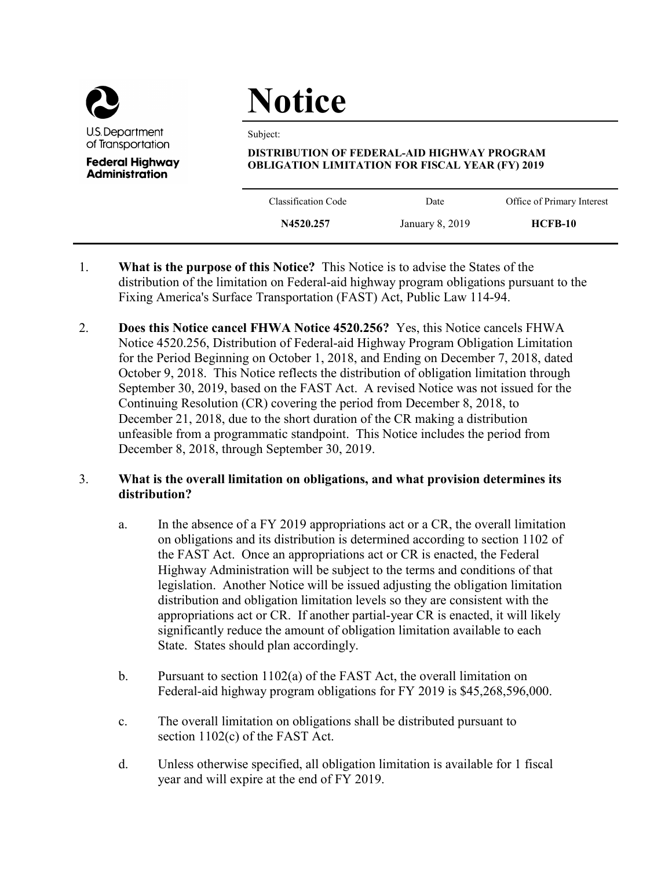

**Administration** 

# **Notice**

Subject:

## **DISTRIBUTION OF FEDERAL-AID HIGHWAY PROGRAM OBLIGATION LIMITATION FOR FISCAL YEAR (FY) 2019**

| Classification Code | Date            | Office of Primary Interest |
|---------------------|-----------------|----------------------------|
| N4520.257           | January 8, 2019 | $HCFB-10$                  |
|                     |                 |                            |

- 1. **What is the purpose of this Notice?** This Notice is to advise the States of the distribution of the limitation on Federal-aid highway program obligations pursuant to the Fixing America's Surface Transportation (FAST) Act, Public Law 114-94.
- 2. **Does this Notice cancel FHWA Notice 4520.256?** Yes, this Notice cancels FHWA Notice 4520.256, Distribution of Federal-aid Highway Program Obligation Limitation for the Period Beginning on October 1, 2018, and Ending on December 7, 2018, dated October 9, 2018. This Notice reflects the distribution of obligation limitation through September 30, 2019, based on the FAST Act. A revised Notice was not issued for the Continuing Resolution (CR) covering the period from December 8, 2018, to December 21, 2018, due to the short duration of the CR making a distribution unfeasible from a programmatic standpoint. This Notice includes the period from December 8, 2018, through September 30, 2019.

# 3. **What is the overall limitation on obligations, and what provision determines its distribution?**

- a. In the absence of a FY 2019 appropriations act or a CR, the overall limitation on obligations and its distribution is determined according to section 1102 of the FAST Act. Once an appropriations act or CR is enacted, the Federal Highway Administration will be subject to the terms and conditions of that legislation. Another Notice will be issued adjusting the obligation limitation distribution and obligation limitation levels so they are consistent with the appropriations act or CR. If another partial-year CR is enacted, it will likely significantly reduce the amount of obligation limitation available to each State. States should plan accordingly.
- b. Pursuant to section 1102(a) of the FAST Act, the overall limitation on Federal-aid highway program obligations for FY 2019 is \$45,268,596,000.
- c. The overall limitation on obligations shall be distributed pursuant to section 1102(c) of the FAST Act.
- d. Unless otherwise specified, all obligation limitation is available for 1 fiscal year and will expire at the end of FY 2019.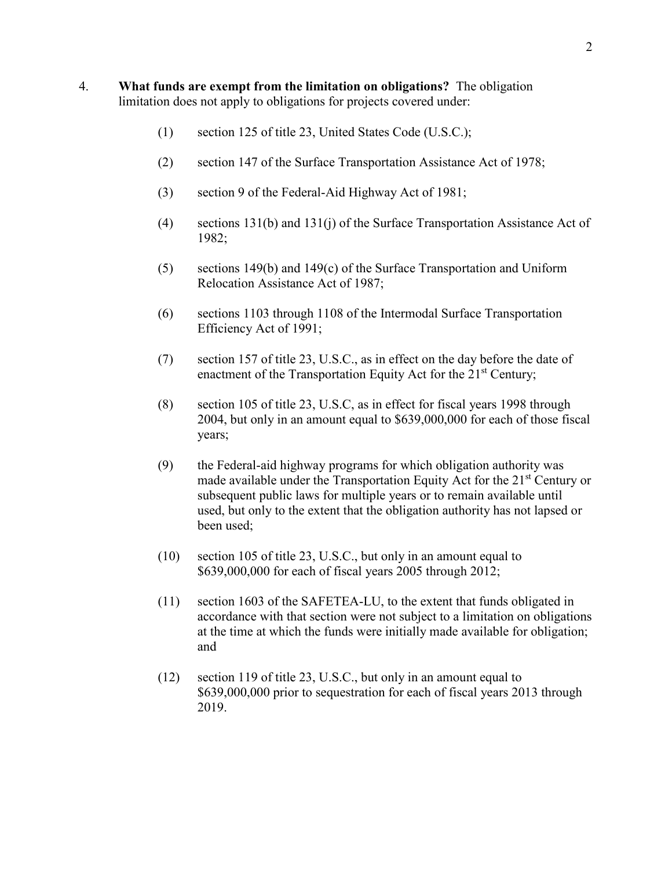- 4. **What funds are exempt from the limitation on obligations?** The obligation limitation does not apply to obligations for projects covered under:
	- (1) section 125 of title 23, United States Code (U.S.C.);
	- (2) section 147 of the Surface Transportation Assistance Act of 1978;
	- (3) section 9 of the Federal-Aid Highway Act of 1981;
	- (4) sections 131(b) and 131(j) of the Surface Transportation Assistance Act of 1982;
	- (5) sections 149(b) and 149(c) of the Surface Transportation and Uniform Relocation Assistance Act of 1987;
	- (6) sections 1103 through 1108 of the Intermodal Surface Transportation Efficiency Act of 1991;
	- (7) section 157 of title 23, U.S.C., as in effect on the day before the date of enactment of the Transportation Equity Act for the 21<sup>st</sup> Century;
	- (8) section 105 of title 23, U.S.C, as in effect for fiscal years 1998 through 2004, but only in an amount equal to \$639,000,000 for each of those fiscal years;
	- (9) the Federal-aid highway programs for which obligation authority was made available under the Transportation Equity Act for the  $21<sup>st</sup>$  Century or subsequent public laws for multiple years or to remain available until used, but only to the extent that the obligation authority has not lapsed or been used;
	- (10) section 105 of title 23, U.S.C., but only in an amount equal to \$639,000,000 for each of fiscal years 2005 through 2012;
	- (11) section 1603 of the SAFETEA-LU, to the extent that funds obligated in accordance with that section were not subject to a limitation on obligations at the time at which the funds were initially made available for obligation; and
	- (12) section 119 of title 23, U.S.C., but only in an amount equal to \$639,000,000 prior to sequestration for each of fiscal years 2013 through 2019.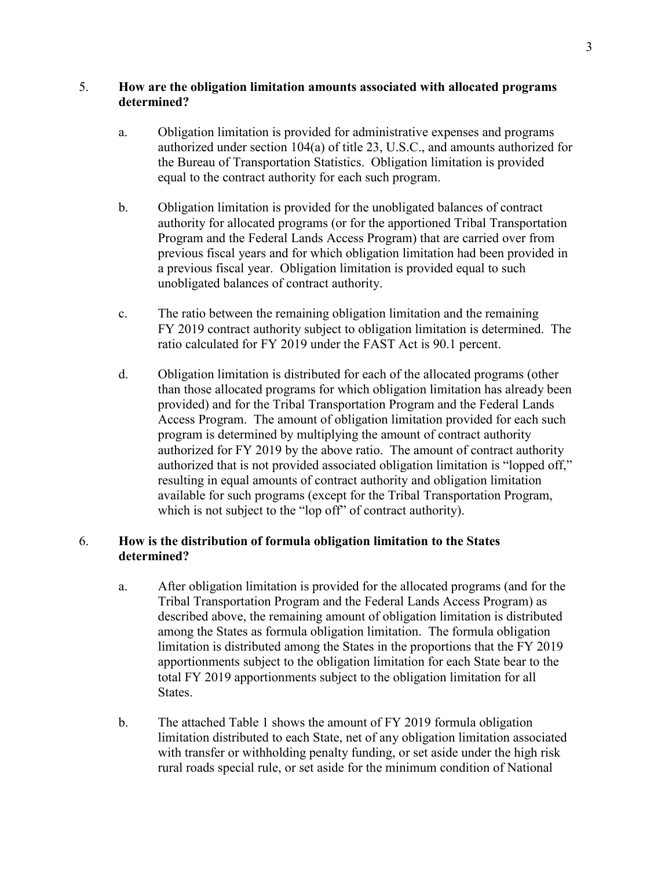## 5. **How are the obligation limitation amounts associated with allocated programs determined?**

- a. Obligation limitation is provided for administrative expenses and programs authorized under section 104(a) of title 23, U.S.C., and amounts authorized for the Bureau of Transportation Statistics. Obligation limitation is provided equal to the contract authority for each such program.
- b. Obligation limitation is provided for the unobligated balances of contract authority for allocated programs (or for the apportioned Tribal Transportation Program and the Federal Lands Access Program) that are carried over from previous fiscal years and for which obligation limitation had been provided in a previous fiscal year. Obligation limitation is provided equal to such unobligated balances of contract authority.
- c. The ratio between the remaining obligation limitation and the remaining FY 2019 contract authority subject to obligation limitation is determined. The ratio calculated for FY 2019 under the FAST Act is 90.1 percent.
- d. Obligation limitation is distributed for each of the allocated programs (other than those allocated programs for which obligation limitation has already been provided) and for the Tribal Transportation Program and the Federal Lands Access Program. The amount of obligation limitation provided for each such program is determined by multiplying the amount of contract authority authorized for FY 2019 by the above ratio. The amount of contract authority authorized that is not provided associated obligation limitation is "lopped off," resulting in equal amounts of contract authority and obligation limitation available for such programs (except for the Tribal Transportation Program, which is not subject to the "lop off" of contract authority).

## 6. **How is the distribution of formula obligation limitation to the States determined?**

- a. After obligation limitation is provided for the allocated programs (and for the Tribal Transportation Program and the Federal Lands Access Program) as described above, the remaining amount of obligation limitation is distributed among the States as formula obligation limitation. The formula obligation limitation is distributed among the States in the proportions that the FY 2019 apportionments subject to the obligation limitation for each State bear to the total FY 2019 apportionments subject to the obligation limitation for all States.
- b. The attached Table 1 shows the amount of FY 2019 formula obligation limitation distributed to each State, net of any obligation limitation associated with transfer or withholding penalty funding, or set aside under the high risk rural roads special rule, or set aside for the minimum condition of National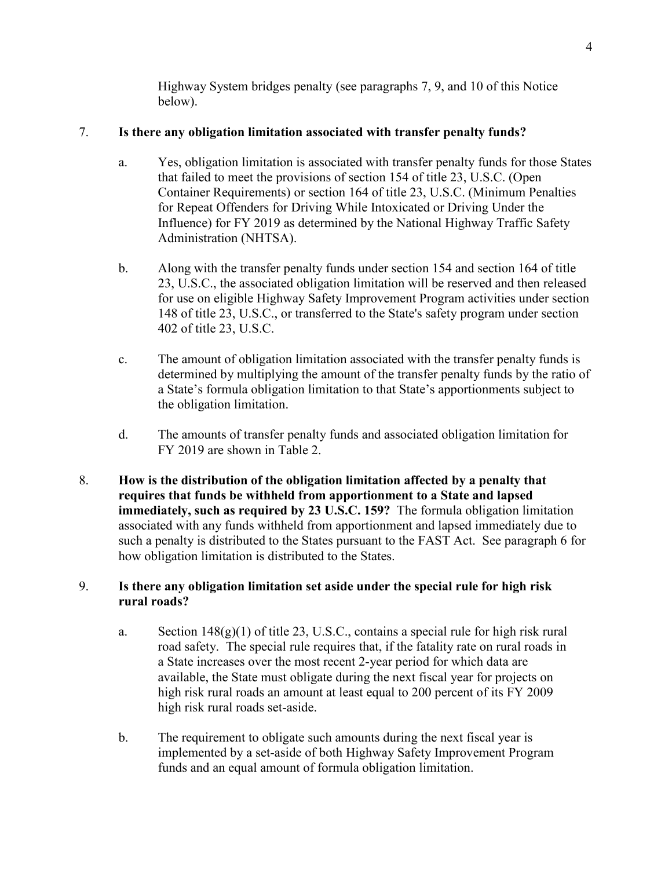Highway System bridges penalty (see paragraphs 7, 9, and 10 of this Notice below).

# 7. **Is there any obligation limitation associated with transfer penalty funds?**

- a. Yes, obligation limitation is associated with transfer penalty funds for those States that failed to meet the provisions of section 154 of title 23, U.S.C. (Open Container Requirements) or section 164 of title 23, U.S.C. (Minimum Penalties for Repeat Offenders for Driving While Intoxicated or Driving Under the Influence) for FY 2019 as determined by the National Highway Traffic Safety Administration (NHTSA).
- b. Along with the transfer penalty funds under section 154 and section 164 of title 23, U.S.C., the associated obligation limitation will be reserved and then released for use on eligible Highway Safety Improvement Program activities under section 148 of title 23, U.S.C., or transferred to the State's safety program under section 402 of title 23, U.S.C.
- c. The amount of obligation limitation associated with the transfer penalty funds is determined by multiplying the amount of the transfer penalty funds by the ratio of a State's formula obligation limitation to that State's apportionments subject to the obligation limitation.
- d. The amounts of transfer penalty funds and associated obligation limitation for FY 2019 are shown in Table 2.
- 8. **How is the distribution of the obligation limitation affected by a penalty that requires that funds be withheld from apportionment to a State and lapsed immediately, such as required by 23 U.S.C. 159?** The formula obligation limitation associated with any funds withheld from apportionment and lapsed immediately due to such a penalty is distributed to the States pursuant to the FAST Act. See paragraph 6 for how obligation limitation is distributed to the States.

# 9. **Is there any obligation limitation set aside under the special rule for high risk rural roads?**

- a. Section  $148(g)(1)$  of title 23, U.S.C., contains a special rule for high risk rural road safety. The special rule requires that, if the fatality rate on rural roads in a State increases over the most recent 2-year period for which data are available, the State must obligate during the next fiscal year for projects on high risk rural roads an amount at least equal to 200 percent of its FY 2009 high risk rural roads set-aside.
- b. The requirement to obligate such amounts during the next fiscal year is implemented by a set-aside of both Highway Safety Improvement Program funds and an equal amount of formula obligation limitation.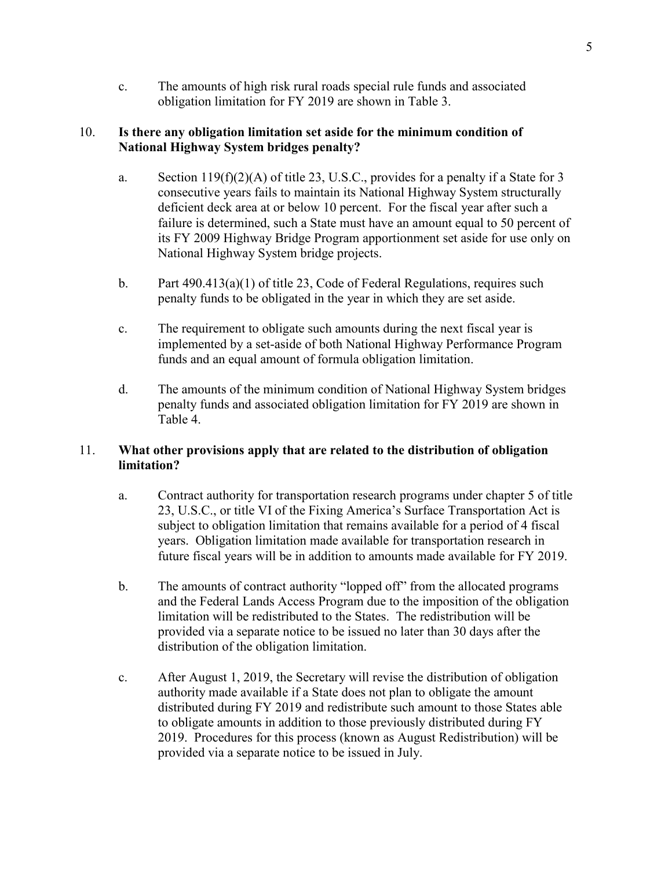c. The amounts of high risk rural roads special rule funds and associated obligation limitation for FY 2019 are shown in Table 3.

## 10. **Is there any obligation limitation set aside for the minimum condition of National Highway System bridges penalty?**

- a. Section 119(f)(2)(A) of title 23, U.S.C., provides for a penalty if a State for 3 consecutive years fails to maintain its National Highway System structurally deficient deck area at or below 10 percent. For the fiscal year after such a failure is determined, such a State must have an amount equal to 50 percent of its FY 2009 Highway Bridge Program apportionment set aside for use only on National Highway System bridge projects.
- b. Part 490.413(a)(1) of title 23, Code of Federal Regulations, requires such penalty funds to be obligated in the year in which they are set aside.
- c. The requirement to obligate such amounts during the next fiscal year is implemented by a set-aside of both National Highway Performance Program funds and an equal amount of formula obligation limitation.
- d. The amounts of the minimum condition of National Highway System bridges penalty funds and associated obligation limitation for FY 2019 are shown in Table 4.

# 11. **What other provisions apply that are related to the distribution of obligation limitation?**

- a. Contract authority for transportation research programs under chapter 5 of title 23, U.S.C., or title VI of the Fixing America's Surface Transportation Act is subject to obligation limitation that remains available for a period of 4 fiscal years. Obligation limitation made available for transportation research in future fiscal years will be in addition to amounts made available for FY 2019.
- b. The amounts of contract authority "lopped off" from the allocated programs and the Federal Lands Access Program due to the imposition of the obligation limitation will be redistributed to the States. The redistribution will be provided via a separate notice to be issued no later than 30 days after the distribution of the obligation limitation.
- c. After August 1, 2019, the Secretary will revise the distribution of obligation authority made available if a State does not plan to obligate the amount distributed during FY 2019 and redistribute such amount to those States able to obligate amounts in addition to those previously distributed during FY 2019. Procedures for this process (known as August Redistribution) will be provided via a separate notice to be issued in July.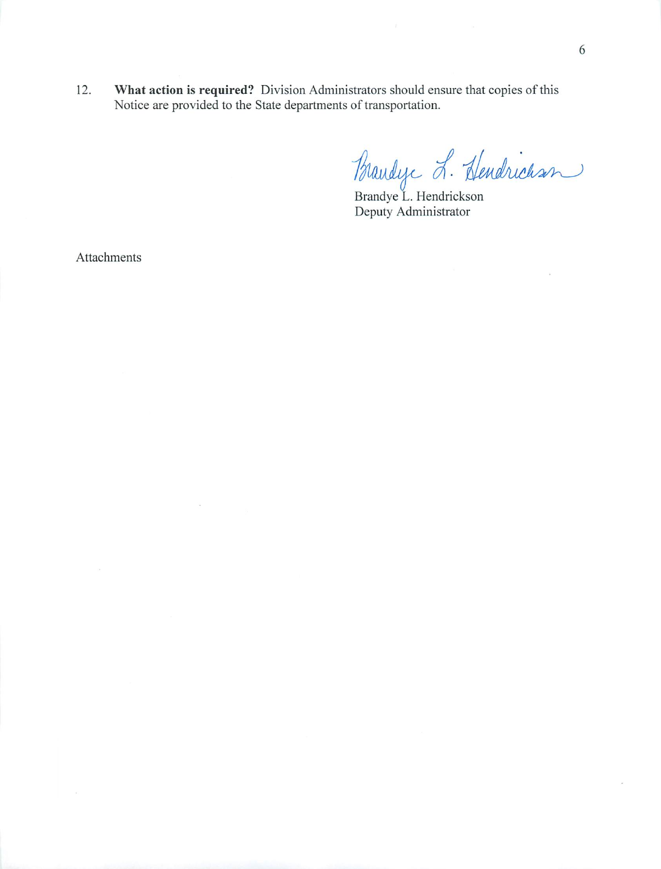What action is required? Division Administrators should ensure that copies of this 12. Notice are provided to the State departments of transportation.

Blandyc L. Hendrichson

Deputy Administrator

Attachments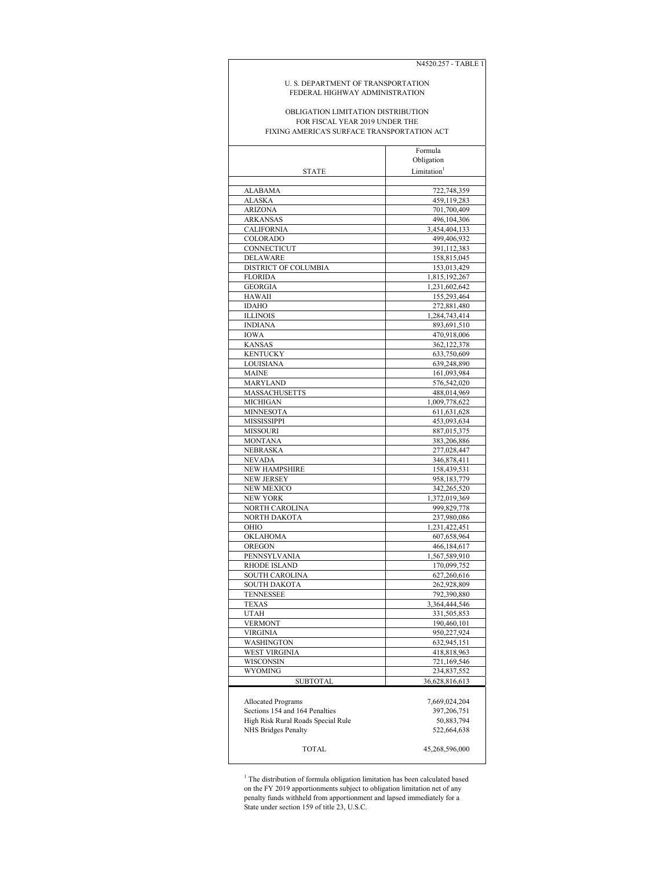```
N4520.257 - TABLE 1
```
#### U. S. DEPARTMENT OF TRANSPORTATION FEDERAL HIGHWAY ADMINISTRATION

#### FIXING AMERICA'S SURFACE TRANSPORTATION ACT OBLIGATION LIMITATION DISTRIBUTION FOR FISCAL YEAR 2019 UNDER THE

|                                                             | Formula                    |
|-------------------------------------------------------------|----------------------------|
|                                                             | Obligation                 |
| <b>STATE</b>                                                | Limitation <sup>1</sup>    |
|                                                             |                            |
| ALABAMA                                                     | 722,748,359                |
| ALASKA                                                      | 459,119,283                |
| <b>ARIZONA</b>                                              | 701,700,409                |
| <b>ARKANSAS</b>                                             | 496,104,306                |
| <b>CALIFORNIA</b>                                           | 3,454,404,133              |
| COLORADO                                                    | 499,406,932                |
| CONNECTICUT                                                 | 391,112,383                |
| <b>DELAWARE</b>                                             | 158,815,045                |
| DISTRICT OF COLUMBIA                                        | 153,013,429                |
| <b>FLORIDA</b>                                              | 1,815,192,267              |
| <b>GEORGIA</b>                                              | 1,231,602,642              |
| <b>HAWAII</b>                                               | 155,293,464                |
| <b>IDAHO</b>                                                | 272,881,480                |
| <b>ILLINOIS</b>                                             | 1,284,743,414              |
| <b>INDIANA</b>                                              | 893,691,510                |
| IOWA                                                        | 470,918,006                |
| <b>KANSAS</b>                                               | 362,122,378                |
| <b>KENTUCKY</b>                                             | 633,750,609                |
| LOUISIANA                                                   | 639,248,890                |
| MAINE                                                       | 161,093,984                |
| MARYLAND                                                    | 576,542,020                |
| MASSACHUSETTS                                               | 488,014,969                |
| MICHIGAN                                                    | 1,009,778,622              |
| <b>MINNESOTA</b>                                            | 611,631,628                |
| MISSISSIPPI                                                 | 453,093,634                |
| <b>MISSOURI</b>                                             | 887.015.375                |
| <b>MONTANA</b>                                              | 383,206,886                |
| NEBRASKA                                                    | 277,028,447                |
| <b>NEVADA</b>                                               | 346,878,411                |
| NEW HAMPSHIRE                                               | 158,439,531                |
| <b>NEW JERSEY</b>                                           | 958,183,779                |
| <b>NEW MEXICO</b>                                           | 342,265,520                |
| <b>NEW YORK</b>                                             | 1,372,019,369              |
| NORTH CAROLINA                                              | 999,829,778                |
| NORTH DAKOTA                                                | 237,980,086                |
| OHIO                                                        | 1,231,422,451              |
| OKLAHOMA                                                    | 607,658,964                |
| OREGON                                                      | 466,184,617                |
| PENNSYLVANIA                                                | 1,567,589,910              |
| RHODE ISLAND                                                | 170,099,752                |
| SOUTH CAROLINA                                              | 627,260,616                |
| <b>SOUTH DAKOTA</b>                                         | 262,928,809                |
| <b>TENNESSEE</b>                                            | 792,390,880                |
| <b>TEXAS</b>                                                | 3,364,444,546              |
| <b>UTAH</b>                                                 | 331,505,853                |
| <b>VERMONT</b><br><b>VIRGINIA</b>                           | 190,460,101                |
|                                                             | 950,227,924                |
| WASHINGTON                                                  | 632,945,151                |
| WEST VIRGINIA<br>WISCONSIN                                  | 418,818,963                |
| WYOMING                                                     | 721,169,546<br>234,837,552 |
|                                                             |                            |
| SUBTOTAL                                                    | 36,628,816,613             |
|                                                             |                            |
| <b>Allocated Programs</b><br>Sections 154 and 164 Penalties | 7,669,024,204              |
|                                                             | 397,206,751                |
| High Risk Rural Roads Special Rule                          | 50,883,794                 |
| NHS Bridges Penalty                                         | 522,664,638                |
| TOTAL                                                       | 45,268,596,000             |
|                                                             |                            |

<sup>1</sup> The distribution of formula obligation limitation has been calculated based on the FY 2019 apportionments subject to obligation limitation net of any penalty funds withheld from apportionment and lapsed immediately for a State under section 159 of title 23, U.S.C.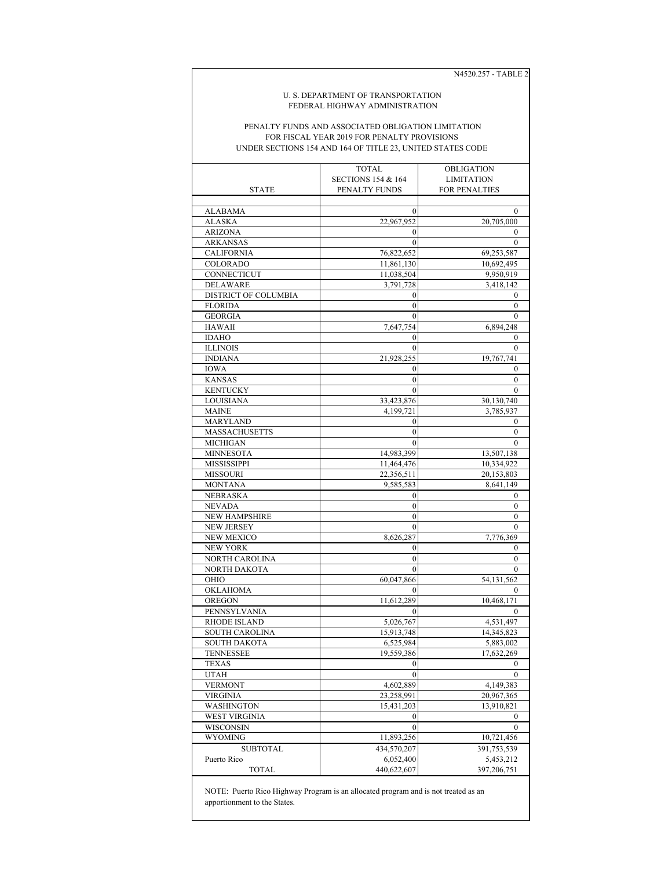N4520.257 - TABLE 2

#### U. S. DEPARTMENT OF TRANSPORTATION FEDERAL HIGHWAY ADMINISTRATION

### UNDER SECTIONS 154 AND 164 OF TITLE 23, UNITED STATES CODE PENALTY FUNDS AND ASSOCIATED OBLIGATION LIMITATION FOR FISCAL YEAR 2019 FOR PENALTY PROVISIONS

|                             | TOTAL                         | OBLIGATION           |
|-----------------------------|-------------------------------|----------------------|
|                             | <b>SECTIONS 154 &amp; 164</b> | <b>LIMITATION</b>    |
| <b>STATE</b>                | PENALTY FUNDS                 | <b>FOR PENALTIES</b> |
|                             |                               |                      |
| <b>ALABAMA</b>              | 0                             | $\mathbf{0}$         |
| <b>ALASKA</b>               | 22.967.952                    | 20,705,000           |
| <b>ARIZONA</b>              | $\boldsymbol{0}$              | $\bf{0}$             |
| <b>ARKANSAS</b>             | $\theta$                      | $\theta$             |
| <b>CALIFORNIA</b>           | 76,822,652                    | 69,253,587           |
| COLORADO                    | 11,861,130                    | 10,692,495           |
| CONNECTICUT                 | 11,038,504                    | 9,950,919            |
| <b>DELAWARE</b>             | 3,791,728                     | 3,418,142            |
| <b>DISTRICT OF COLUMBIA</b> | 0                             | $\mathbf{0}$         |
| <b>FLORIDA</b>              | $\mathbf{0}$                  | 0                    |
| <b>GEORGIA</b>              | 0                             | 0                    |
| <b>HAWAII</b>               | 7,647,754                     | 6,894,248            |
| <b>IDAHO</b>                | $\mathbf{0}$                  | $\bf{0}$             |
| <b>ILLINOIS</b>             | $\mathbf{0}$                  | $\Omega$             |
| <b>INDIANA</b>              | 21,928,255                    | 19,767,741           |
| <b>IOWA</b>                 | 0                             | 0                    |
| <b>KANSAS</b>               | $\mathbf{0}$                  | $\mathbf{0}$         |
| <b>KENTUCKY</b>             | $\mathbf{0}$                  | $\mathbf{0}$         |
| LOUISIANA                   | 33,423,876                    | 30,130,740           |
| <b>MAINE</b>                | 4,199,721                     | 3,785,937            |
| MARYLAND                    | 0                             | $\bf{0}$             |
| <b>MASSACHUSETTS</b>        | $\mathbf{0}$                  | $\mathbf{0}$         |
| MICHIGAN                    | $\theta$                      | $\mathbf{0}$         |
| <b>MINNESOTA</b>            | 14,983,399                    | 13,507,138           |
| <b>MISSISSIPPI</b>          | 11,464,476                    | 10,334,922           |
| <b>MISSOURI</b>             | 22,356,511                    | 20,153,803           |
| <b>MONTANA</b>              | 9,585,583                     | 8,641,149            |
| <b>NEBRASKA</b>             | $\boldsymbol{0}$              | $\bf{0}$             |
| <b>NEVADA</b>               | $\mathbf{0}$                  | $\mathbf{0}$         |
| NEW HAMPSHIRE               | $\mathbf{0}$                  | 0                    |
| <b>NEW JERSEY</b>           | $\mathbf{0}$                  | $\mathbf{0}$         |
| <b>NEW MEXICO</b>           | 8,626,287                     | 7,776,369            |
| NEW YORK                    | 0                             | $\bf{0}$             |
| NORTH CAROLINA              | $\mathbf{0}$                  | $\Omega$             |
| NORTH DAKOTA                | $\theta$                      | $\Omega$             |
| OHIO                        | 60,047,866                    | 54,131,562           |
| OKLAHOMA                    | $\theta$                      | $\theta$             |
| OREGON                      | 11,612,289                    | 10,468,171           |
| PENNSYLVANIA                | $\Omega$                      | $\Omega$             |
| RHODE ISLAND                | 5,026,767                     | 4,531,497            |
| <b>SOUTH CAROLINA</b>       | 15,913,748                    | 14,345,823           |
| SOUTH DAKOTA                | 6,525,984                     | 5,883,002            |
| <b>TENNESSEE</b>            | 19,559,386                    | 17,632,269           |
| <b>TEXAS</b>                | $\boldsymbol{0}$              | $\boldsymbol{0}$     |
| <b>UTAH</b>                 | $\theta$                      | $\theta$             |
| <b>VERMONT</b>              | 4,602,889                     | 4,149,383            |
| <b>VIRGINIA</b>             | 23,258,991                    | 20,967,365           |
| WASHINGTON                  | 15,431,203                    | 13,910,821           |
| <b>WEST VIRGINIA</b>        | $\mathbf{0}$                  | $\mathbf{0}$         |
| WISCONSIN                   | $\mathbf{0}$                  | $\mathbf{0}$         |
| <b>WYOMING</b>              | 11,893,256                    | 10,721,456           |
|                             |                               |                      |
| <b>SUBTOTAL</b>             | 434,570,207                   | 391,753,539          |
| Puerto Rico                 | 6,052,400                     | 5,453,212            |
| <b>TOTAL</b>                | 440,622,607                   | 397,206,751          |

NOTE: Puerto Rico Highway Program is an allocated program and is not treated as an apportionment to the States.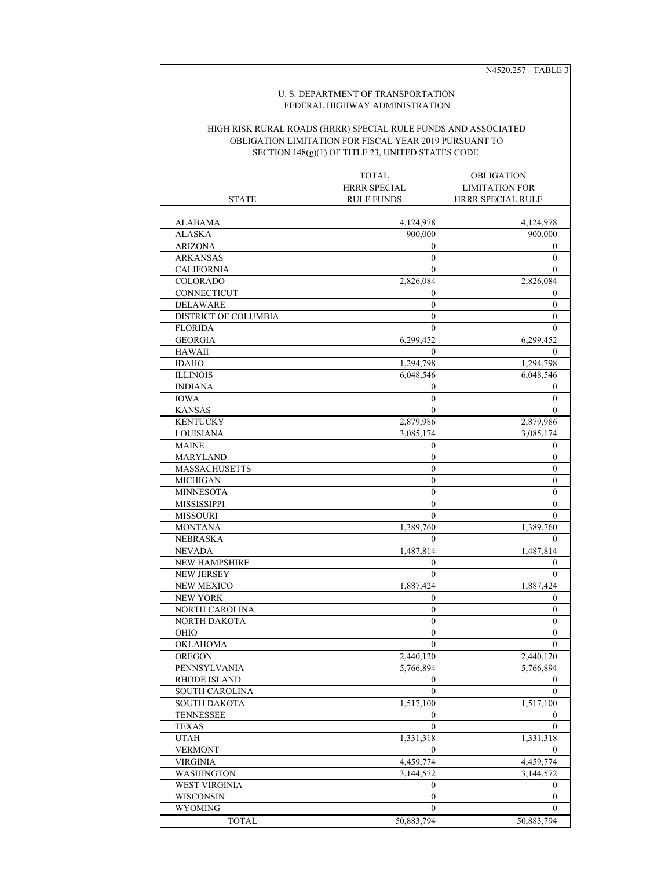N4520.257 - TABLE 3

## U. S. DEPARTMENT OF TRANSPORTATION FEDERAL HIGHWAY ADMINISTRATION

## SECTION 148(g)(1) OF TITLE 23, UNITED STATES CODE HIGH RISK RURAL ROADS (HRRR) SPECIAL RULE FUNDS AND ASSOCIATED OBLIGATION LIMITATION FOR FISCAL YEAR 2019 PURSUANT TO

|                             | <b>TOTAL</b>        | OBLIGATION               |
|-----------------------------|---------------------|--------------------------|
|                             | <b>HRRR SPECIAL</b> | <b>LIMITATION FOR</b>    |
| <b>STATE</b>                | <b>RULE FUNDS</b>   | <b>HRRR SPECIAL RULE</b> |
|                             |                     |                          |
| ALABAMA                     | 4,124,978           | 4,124,978                |
| <b>ALASKA</b>               | 900,000             | 900,000                  |
| <b>ARIZONA</b>              | $\boldsymbol{0}$    | 0                        |
| <b>ARKANSAS</b>             | $\mathbf{0}$        | $\mathbf{0}$             |
| <b>CALIFORNIA</b>           | $\theta$            | $\mathbf{0}$             |
| <b>COLORADO</b>             | 2,826,084           | 2,826,084                |
| CONNECTICUT                 | 0                   | 0                        |
| <b>DELAWARE</b>             | $\boldsymbol{0}$    | $\boldsymbol{0}$         |
| <b>DISTRICT OF COLUMBIA</b> | $\overline{0}$      | $\mathbf{0}$             |
| <b>FLORIDA</b>              | $\boldsymbol{0}$    | $\mathbf{0}$             |
| <b>GEORGIA</b>              | 6,299,452           | 6,299,452                |
| <b>HAWAII</b>               | $\mathbf{0}$        | $\mathbf{0}$             |
| <b>IDAHO</b>                | 1,294,798           | 1,294,798                |
| <b>ILLINOIS</b>             | 6,048,546           | 6,048,546                |
| <b>INDIANA</b>              | $\boldsymbol{0}$    | $\boldsymbol{0}$         |
| <b>IOWA</b>                 | $\boldsymbol{0}$    | $\boldsymbol{0}$         |
| <b>KANSAS</b>               | $\mathbf{0}$        | $\mathbf{0}$             |
| <b>KENTUCKY</b>             | 2,879,986           | 2,879,986                |
| LOUISIANA                   | 3,085,174           | 3,085,174                |
| <b>MAINE</b>                | $\boldsymbol{0}$    | 0                        |
| <b>MARYLAND</b>             | $\mathbf{0}$        | $\mathbf{0}$             |
| <b>MASSACHUSETTS</b>        | $\mathbf{0}$        | $\boldsymbol{0}$         |
| <b>MICHIGAN</b>             | $\boldsymbol{0}$    | 0                        |
| <b>MINNESOTA</b>            | $\boldsymbol{0}$    | 0                        |
| <b>MISSISSIPPI</b>          | $\boldsymbol{0}$    | $\boldsymbol{0}$         |
| <b>MISSOURI</b>             | $\mathbf{0}$        | $\mathbf{0}$             |
| <b>MONTANA</b>              | 1,389,760           | 1,389,760                |
| <b>NEBRASKA</b>             | $\boldsymbol{0}$    | $\bf{0}$                 |
| <b>NEVADA</b>               | 1,487,814           | 1,487,814                |
| <b>NEW HAMPSHIRE</b>        | $\boldsymbol{0}$    | $\theta$                 |
| <b>NEW JERSEY</b>           | $\mathbf{0}$        | $\mathbf{0}$             |
| <b>NEW MEXICO</b>           | 1,887,424           | 1,887,424                |
| <b>NEW YORK</b>             | $\boldsymbol{0}$    | 0                        |
| NORTH CAROLINA              | $\boldsymbol{0}$    | $\mathbf{0}$             |
| NORTH DAKOTA                | $\mathbf{0}$        | $\boldsymbol{0}$         |
| OHIO                        | $\mathbf{0}$        | $\mathbf{0}$             |
| <b>OKLAHOMA</b>             | $\boldsymbol{0}$    | $\bf{0}$                 |
| <b>OREGON</b>               | 2,440,120           | 2,440,120                |
| PENNSYLVANIA                | 5,766,894           | 5,766,894                |
| RHODE ISLAND                | $\mathbf{0}$        | $\mathbf{0}$             |
| SOUTH CAROLINA              | $\theta$            | $\mathbf{0}$             |
| <b>SOUTH DAKOTA</b>         | 1,517,100           | 1,517,100                |
| <b>TENNESSEE</b>            | $\theta$            | $\mathbf{0}$             |
| <b>TEXAS</b>                | $\theta$            | $\mathbf{0}$             |
| <b>UTAH</b>                 | 1,331,318           | 1,331,318                |
| <b>VERMONT</b>              | $\bf{0}$            | $\bf{0}$                 |
| <b>VIRGINIA</b>             | 4,459,774           | 4,459,774                |
| <b>WASHINGTON</b>           | 3,144,572           | 3,144,572                |
| <b>WEST VIRGINIA</b>        | $\boldsymbol{0}$    | $\boldsymbol{0}$         |
| WISCONSIN                   | $\boldsymbol{0}$    | $\boldsymbol{0}$         |
| <b>WYOMING</b>              | $\bf{0}$            | 0                        |
| <b>TOTAL</b>                | 50,883,794          | 50,883,794               |